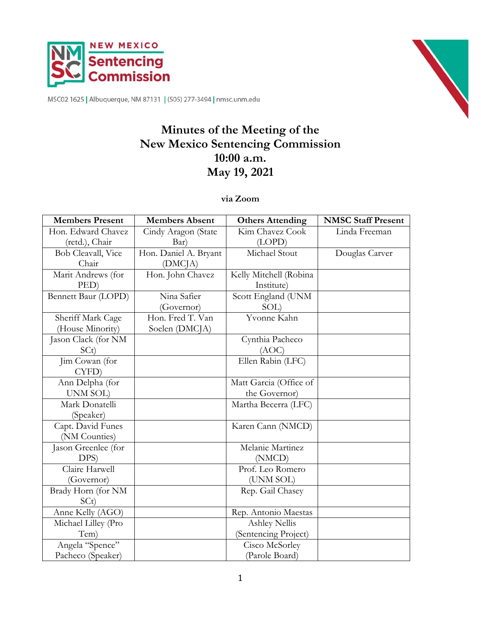

MSC02 1625 | Albuquerque, NM 87131 | (505) 277-3494 | nmsc.unm.edu

# **Minutes of the Meeting of the New Mexico Sentencing Commission 10:00 a.m. May 19, 2021**

**via Zoom**

| <b>Members Present</b> | <b>Members Absent</b> | <b>Others Attending</b> | <b>NMSC Staff Present</b> |
|------------------------|-----------------------|-------------------------|---------------------------|
| Hon. Edward Chavez     | Cindy Aragon (State   | Kim Chavez Cook         | Linda Freeman             |
| (retd.), Chair         | Bar)                  | (LOPD)                  |                           |
| Bob Cleavall, Vice     | Hon. Daniel A. Bryant | Michael Stout           | Douglas Carver            |
| Chair                  | (DMC <sub>IA</sub> )  |                         |                           |
| Marit Andrews (for     | Hon. John Chavez      | Kelly Mitchell (Robina  |                           |
| PED)                   |                       | Institute)              |                           |
| Bennett Baur (LOPD)    | Nina Safier           | Scott England (UNM      |                           |
|                        | (Governor)            | SOL)                    |                           |
| Sheriff Mark Cage      | Hon. Fred T. Van      | Yvonne Kahn             |                           |
| (House Minority)       | Soelen (DMCJA)        |                         |                           |
| Jason Clack (for NM    |                       | Cynthia Pacheco         |                           |
| SCt)                   |                       | (AOC)                   |                           |
| Jim Cowan (for         |                       | Ellen Rabin (LFC)       |                           |
| CYFD)                  |                       |                         |                           |
| Ann Delpha (for        |                       | Matt Garcia (Office of  |                           |
| UNM SOL)               |                       | the Governor)           |                           |
| Mark Donatelli         |                       | Martha Becerra (LFC)    |                           |
| (Speaker)              |                       |                         |                           |
| Capt. David Funes      |                       | Karen Cann (NMCD)       |                           |
| (NM Counties)          |                       |                         |                           |
| Jason Greenlee (for    |                       | Melanie Martinez        |                           |
| DPS)                   |                       | (NMCD)                  |                           |
| Claire Harwell         |                       | Prof. Leo Romero        |                           |
| (Governor)             |                       | (UNM SOL)               |                           |
| Brady Horn (for NM     |                       | Rep. Gail Chasey        |                           |
| SCt)                   |                       |                         |                           |
| Anne Kelly (AGO)       |                       | Rep. Antonio Maestas    |                           |
| Michael Lilley (Pro    |                       | <b>Ashley Nellis</b>    |                           |
| Tem)                   |                       | (Sentencing Project)    |                           |
| Angela "Spence"        |                       | Cisco McSorley          |                           |
| Pacheco (Speaker)      |                       | (Parole Board)          |                           |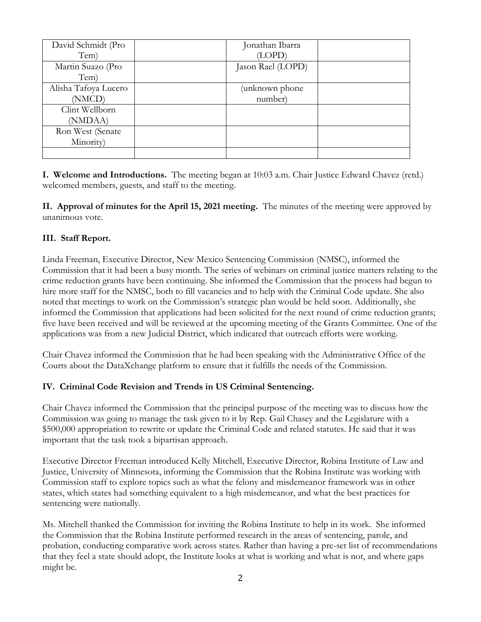| David Schmidt (Pro   | Jonathan Ibarra   |  |
|----------------------|-------------------|--|
| Tem)                 | (LOPD)            |  |
| Martin Suazo (Pro    | Jason Rael (LOPD) |  |
| Tem)                 |                   |  |
| Alisha Tafoya Lucero | unknown phone)    |  |
| (NMCD)               | number)           |  |
| Clint Wellborn       |                   |  |
| (NMDAA)              |                   |  |
| Ron West (Senate     |                   |  |
| Minority)            |                   |  |
|                      |                   |  |

**I. Welcome and Introductions.** The meeting began at 10:03 a.m. Chair Justice Edward Chavez (retd.) welcomed members, guests, and staff to the meeting.

**II. Approval of minutes for the April 15, 2021 meeting.** The minutes of the meeting were approved by unanimous vote.

## **III. Staff Report.**

Linda Freeman, Executive Director, New Mexico Sentencing Commission (NMSC), informed the Commission that it had been a busy month. The series of webinars on criminal justice matters relating to the crime reduction grants have been continuing. She informed the Commission that the process had begun to hire more staff for the NMSC, both to fill vacancies and to help with the Criminal Code update. She also noted that meetings to work on the Commission's strategic plan would be held soon. Additionally, she informed the Commission that applications had been solicited for the next round of crime reduction grants; five have been received and will be reviewed at the upcoming meeting of the Grants Committee. One of the applications was from a new Judicial District, which indicated that outreach efforts were working.

Chair Chavez informed the Commission that he had been speaking with the Administrative Office of the Courts about the DataXchange platform to ensure that it fulfills the needs of the Commission.

# **IV. Criminal Code Revision and Trends in US Criminal Sentencing.**

Chair Chavez informed the Commission that the principal purpose of the meeting was to discuss how the Commission was going to manage the task given to it by Rep. Gail Chasey and the Legislature with a \$500,000 appropriation to rewrite or update the Criminal Code and related statutes. He said that it was important that the task took a bipartisan approach.

Executive Director Freeman introduced Kelly Mitchell, Executive Director, Robina Institute of Law and Justice, University of Minnesota, informing the Commission that the Robina Institute was working with Commission staff to explore topics such as what the felony and misdemeanor framework was in other states, which states had something equivalent to a high misdemeanor, and what the best practices for sentencing were nationally.

Ms. Mitchell thanked the Commission for inviting the Robina Institute to help in its work. She informed the Commission that the Robina Institute performed research in the areas of sentencing, parole, and probation, conducting comparative work across states. Rather than having a pre-set list of recommendations that they feel a state should adopt, the Institute looks at what is working and what is not, and where gaps might be.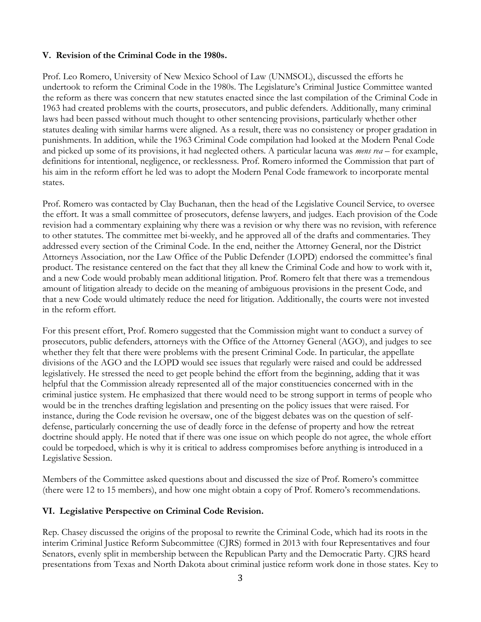#### **V. Revision of the Criminal Code in the 1980s.**

Prof. Leo Romero, University of New Mexico School of Law (UNMSOL), discussed the efforts he undertook to reform the Criminal Code in the 1980s. The Legislature's Criminal Justice Committee wanted the reform as there was concern that new statutes enacted since the last compilation of the Criminal Code in 1963 had created problems with the courts, prosecutors, and public defenders. Additionally, many criminal laws had been passed without much thought to other sentencing provisions, particularly whether other statutes dealing with similar harms were aligned. As a result, there was no consistency or proper gradation in punishments. In addition, while the 1963 Criminal Code compilation had looked at the Modern Penal Code and picked up some of its provisions, it had neglected others. A particular lacuna was *mens rea* – for example, definitions for intentional, negligence, or recklessness. Prof. Romero informed the Commission that part of his aim in the reform effort he led was to adopt the Modern Penal Code framework to incorporate mental states.

Prof. Romero was contacted by Clay Buchanan, then the head of the Legislative Council Service, to oversee the effort. It was a small committee of prosecutors, defense lawyers, and judges. Each provision of the Code revision had a commentary explaining why there was a revision or why there was no revision, with reference to other statutes. The committee met bi-weekly, and he approved all of the drafts and commentaries. They addressed every section of the Criminal Code. In the end, neither the Attorney General, nor the District Attorneys Association, nor the Law Office of the Public Defender (LOPD) endorsed the committee's final product. The resistance centered on the fact that they all knew the Criminal Code and how to work with it, and a new Code would probably mean additional litigation. Prof. Romero felt that there was a tremendous amount of litigation already to decide on the meaning of ambiguous provisions in the present Code, and that a new Code would ultimately reduce the need for litigation. Additionally, the courts were not invested in the reform effort.

For this present effort, Prof. Romero suggested that the Commission might want to conduct a survey of prosecutors, public defenders, attorneys with the Office of the Attorney General (AGO), and judges to see whether they felt that there were problems with the present Criminal Code. In particular, the appellate divisions of the AGO and the LOPD would see issues that regularly were raised and could be addressed legislatively. He stressed the need to get people behind the effort from the beginning, adding that it was helpful that the Commission already represented all of the major constituencies concerned with in the criminal justice system. He emphasized that there would need to be strong support in terms of people who would be in the trenches drafting legislation and presenting on the policy issues that were raised. For instance, during the Code revision he oversaw, one of the biggest debates was on the question of selfdefense, particularly concerning the use of deadly force in the defense of property and how the retreat doctrine should apply. He noted that if there was one issue on which people do not agree, the whole effort could be torpedoed, which is why it is critical to address compromises before anything is introduced in a Legislative Session.

Members of the Committee asked questions about and discussed the size of Prof. Romero's committee (there were 12 to 15 members), and how one might obtain a copy of Prof. Romero's recommendations.

#### **VI. Legislative Perspective on Criminal Code Revision.**

Rep. Chasey discussed the origins of the proposal to rewrite the Criminal Code, which had its roots in the interim Criminal Justice Reform Subcommittee (CJRS) formed in 2013 with four Representatives and four Senators, evenly split in membership between the Republican Party and the Democratic Party. CJRS heard presentations from Texas and North Dakota about criminal justice reform work done in those states. Key to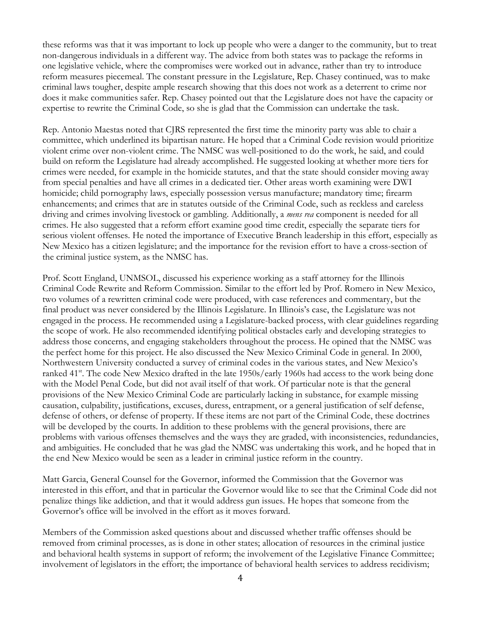these reforms was that it was important to lock up people who were a danger to the community, but to treat non-dangerous individuals in a different way. The advice from both states was to package the reforms in one legislative vehicle, where the compromises were worked out in advance, rather than try to introduce reform measures piecemeal. The constant pressure in the Legislature, Rep. Chasey continued, was to make criminal laws tougher, despite ample research showing that this does not work as a deterrent to crime nor does it make communities safer. Rep. Chasey pointed out that the Legislature does not have the capacity or expertise to rewrite the Criminal Code, so she is glad that the Commission can undertake the task.

Rep. Antonio Maestas noted that CJRS represented the first time the minority party was able to chair a committee, which underlined its bipartisan nature. He hoped that a Criminal Code revision would prioritize violent crime over non-violent crime. The NMSC was well-positioned to do the work, he said, and could build on reform the Legislature had already accomplished. He suggested looking at whether more tiers for crimes were needed, for example in the homicide statutes, and that the state should consider moving away from special penalties and have all crimes in a dedicated tier. Other areas worth examining were DWI homicide; child pornography laws, especially possession versus manufacture; mandatory time; firearm enhancements; and crimes that are in statutes outside of the Criminal Code, such as reckless and careless driving and crimes involving livestock or gambling. Additionally, a *mens rea* component is needed for all crimes. He also suggested that a reform effort examine good time credit, especially the separate tiers for serious violent offenses. He noted the importance of Executive Branch leadership in this effort, especially as New Mexico has a citizen legislature; and the importance for the revision effort to have a cross-section of the criminal justice system, as the NMSC has.

Prof. Scott England, UNMSOL, discussed his experience working as a staff attorney for the Illinois Criminal Code Rewrite and Reform Commission. Similar to the effort led by Prof. Romero in New Mexico, two volumes of a rewritten criminal code were produced, with case references and commentary, but the final product was never considered by the Illinois Legislature. In Illinois's case, the Legislature was not engaged in the process. He recommended using a Legislature-backed process, with clear guidelines regarding the scope of work. He also recommended identifying political obstacles early and developing strategies to address those concerns, and engaging stakeholders throughout the process. He opined that the NMSC was the perfect home for this project. He also discussed the New Mexico Criminal Code in general. In 2000, Northwestern University conducted a survey of criminal codes in the various states, and New Mexico's ranked 41<sup>st</sup>. The code New Mexico drafted in the late 1950s/early 1960s had access to the work being done with the Model Penal Code, but did not avail itself of that work. Of particular note is that the general provisions of the New Mexico Criminal Code are particularly lacking in substance, for example missing causation, culpability, justifications, excuses, duress, entrapment, or a general justification of self defense, defense of others, or defense of property. If these items are not part of the Criminal Code, these doctrines will be developed by the courts. In addition to these problems with the general provisions, there are problems with various offenses themselves and the ways they are graded, with inconsistencies, redundancies, and ambiguities. He concluded that he was glad the NMSC was undertaking this work, and he hoped that in the end New Mexico would be seen as a leader in criminal justice reform in the country.

Matt Garcia, General Counsel for the Governor, informed the Commission that the Governor was interested in this effort, and that in particular the Governor would like to see that the Criminal Code did not penalize things like addiction, and that it would address gun issues. He hopes that someone from the Governor's office will be involved in the effort as it moves forward.

Members of the Commission asked questions about and discussed whether traffic offenses should be removed from criminal processes, as is done in other states; allocation of resources in the criminal justice and behavioral health systems in support of reform; the involvement of the Legislative Finance Committee; involvement of legislators in the effort; the importance of behavioral health services to address recidivism;